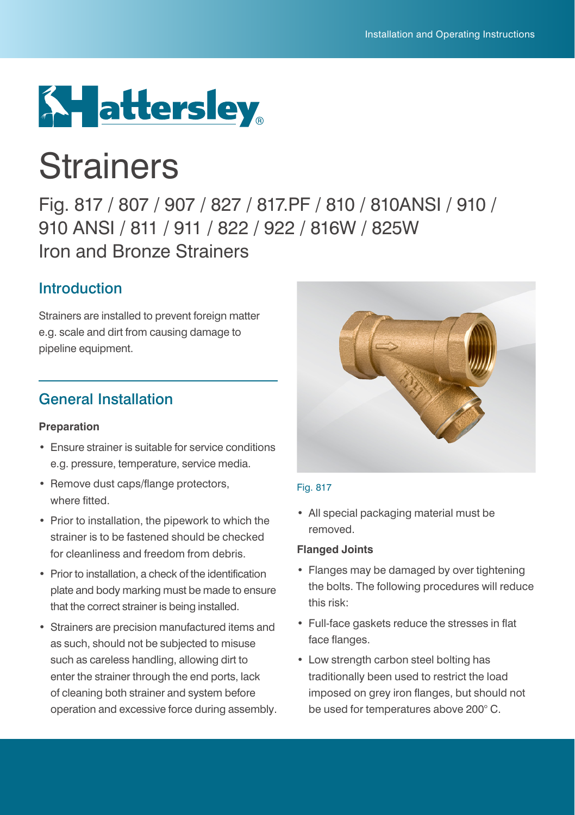

# **Strainers**

Fig. 817 / 807 / 907 / 827 / 817.PF / 810 / 810ANSI / 910 / 910 ANSI / 811 / 911 / 822 / 922 / 816W / 825W Iron and Bronze Strainers

### Introduction

Strainers are installed to prevent foreign matter e.g. scale and dirt from causing damage to pipeline equipment.

### General Installation

### **Preparation**

- Ensure strainer is suitable for service conditions e.g. pressure, temperature, service media.
- Remove dust caps/flange protectors, where fitted.
- Prior to installation, the pipework to which the strainer is to be fastened should be checked for cleanliness and freedom from debris.
- Prior to installation, a check of the identification plate and body marking must be made to ensure that the correct strainer is being installed.
- Strainers are precision manufactured items and as such, should not be subjected to misuse such as careless handling, allowing dirt to enter the strainer through the end ports, lack of cleaning both strainer and system before operation and excessive force during assembly.



### Fig. 817

• All special packaging material must be removed.

#### **Flanged Joints**

- Flanges may be damaged by over tightening the bolts. The following procedures will reduce this risk:
- Full-face gaskets reduce the stresses in flat face flanges.
- Low strength carbon steel bolting has traditionally been used to restrict the load imposed on grey iron flanges, but should not be used for temperatures above 200° C.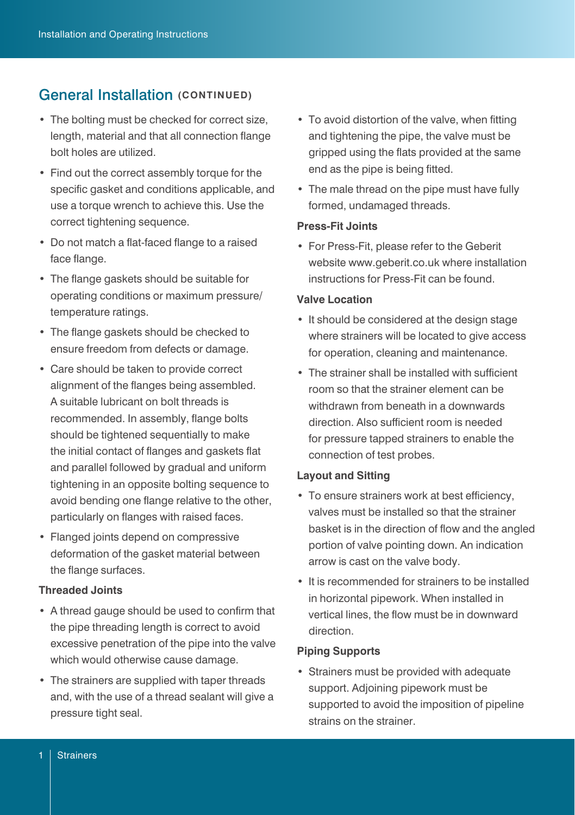### **General Installation (CONTINUED)**

- The bolting must be checked for correct size, length, material and that all connection flange bolt holes are utilized.
- Find out the correct assembly torque for the specific gasket and conditions applicable, and use a torque wrench to achieve this. Use the correct tightening sequence.
- Do not match a flat-faced flange to a raised face flange.
- The flange gaskets should be suitable for operating conditions or maximum pressure/ temperature ratings.
- The flange gaskets should be checked to ensure freedom from defects or damage.
- Care should be taken to provide correct alignment of the flanges being assembled. A suitable lubricant on bolt threads is recommended. In assembly, flange bolts should be tightened sequentially to make the initial contact of flanges and gaskets flat and parallel followed by gradual and uniform tightening in an opposite bolting sequence to avoid bending one flange relative to the other, particularly on flanges with raised faces.
- Flanged joints depend on compressive deformation of the gasket material between the flange surfaces.

### **Threaded Joints**

- A thread gauge should be used to confirm that the pipe threading length is correct to avoid excessive penetration of the pipe into the valve which would otherwise cause damage.
- The strainers are supplied with taper threads and, with the use of a thread sealant will give a pressure tight seal.
- To avoid distortion of the valve, when fitting and tightening the pipe, the valve must be gripped using the flats provided at the same end as the pipe is being fitted.
- The male thread on the pipe must have fully formed, undamaged threads.

#### **Press-Fit Joints**

• For Press-Fit, please refer to the Geberit website www.geberit.co.uk where installation instructions for Press-Fit can be found.

#### **Valve Location**

- It should be considered at the design stage where strainers will be located to give access for operation, cleaning and maintenance.
- The strainer shall be installed with sufficient room so that the strainer element can be withdrawn from beneath in a downwards direction. Also sufficient room is needed for pressure tapped strainers to enable the connection of test probes.

#### **Layout and Sitting**

- To ensure strainers work at best efficiency, valves must be installed so that the strainer basket is in the direction of flow and the angled portion of valve pointing down. An indication arrow is cast on the valve body.
- It is recommended for strainers to be installed in horizontal pipework. When installed in vertical lines, the flow must be in downward direction.

### **Piping Supports**

• Strainers must be provided with adequate support. Adjoining pipework must be supported to avoid the imposition of pipeline strains on the strainer.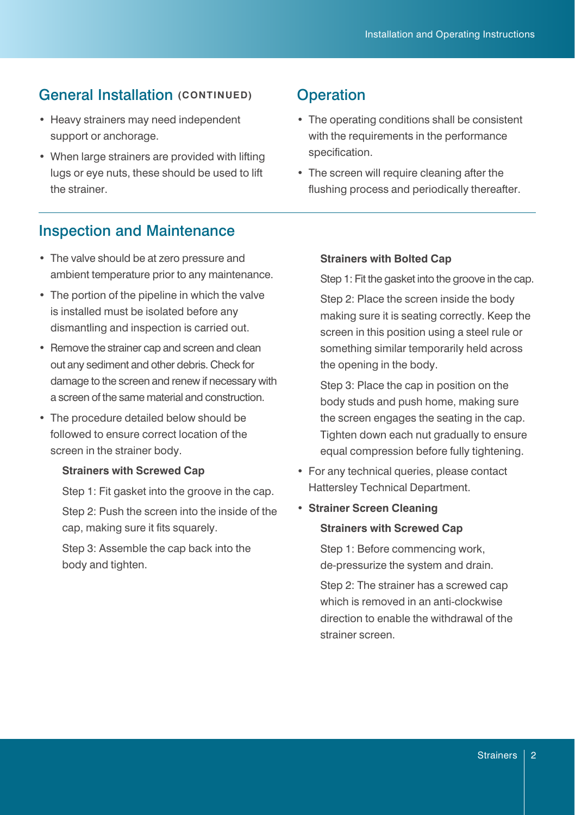### **General Installation (CONTINUED)** Operation

- Heavy strainers may need independent support or anchorage.
- When large strainers are provided with lifting lugs or eye nuts, these should be used to lift the strainer.

- The operating conditions shall be consistent with the requirements in the performance specification.
- The screen will require cleaning after the flushing process and periodically thereafter.

### Inspection and Maintenance

- The valve should be at zero pressure and ambient temperature prior to any maintenance.
- The portion of the pipeline in which the valve is installed must be isolated before any dismantling and inspection is carried out.
- Remove the strainer cap and screen and clean out any sediment and other debris. Check for damage to the screen and renew if necessary with a screen of the same material and construction.
- The procedure detailed below should be followed to ensure correct location of the screen in the strainer body.

### **Strainers with Screwed Cap**

Step 1: Fit gasket into the groove in the cap. Step 2: Push the screen into the inside of the cap, making sure it fits squarely.

Step 3: Assemble the cap back into the body and tighten.

### **Strainers with Bolted Cap**

Step 1: Fit the gasket into the groove in the cap.

Step 2: Place the screen inside the body making sure it is seating correctly. Keep the screen in this position using a steel rule or something similar temporarily held across the opening in the body.

Step 3: Place the cap in position on the body studs and push home, making sure the screen engages the seating in the cap. Tighten down each nut gradually to ensure equal compression before fully tightening.

- For any technical queries, please contact Hattersley Technical Department.
- **• Strainer Screen Cleaning**

#### **Strainers with Screwed Cap**

Step 1: Before commencing work, de-pressurize the system and drain.

Step 2: The strainer has a screwed cap which is removed in an anti-clockwise direction to enable the withdrawal of the strainer screen.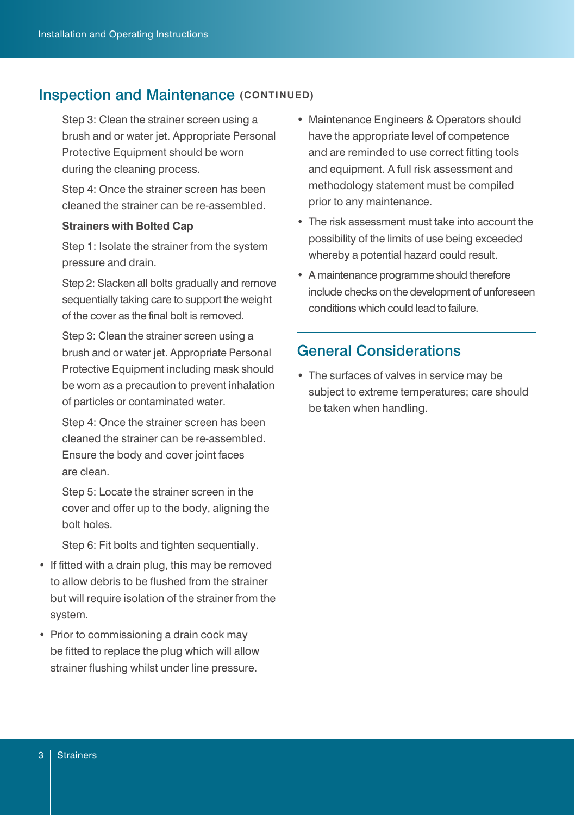### **Inspection and Maintenance (CONTINUED)**

Step 3: Clean the strainer screen using a brush and or water jet. Appropriate Personal Protective Equipment should be worn during the cleaning process.

Step 4: Once the strainer screen has been cleaned the strainer can be re-assembled.

#### **Strainers with Bolted Cap**

Step 1: Isolate the strainer from the system pressure and drain.

Step 2: Slacken all bolts gradually and remove sequentially taking care to support the weight of the cover as the final bolt is removed.

Step 3: Clean the strainer screen using a brush and or water jet. Appropriate Personal Protective Equipment including mask should be worn as a precaution to prevent inhalation of particles or contaminated water.

Step 4: Once the strainer screen has been cleaned the strainer can be re-assembled. Ensure the body and cover joint faces are clean.

Step 5: Locate the strainer screen in the cover and offer up to the body, aligning the bolt holes.

Step 6: Fit bolts and tighten sequentially.

- If fitted with a drain plug, this may be removed to allow debris to be flushed from the strainer but will require isolation of the strainer from the system.
- Prior to commissioning a drain cock may be fitted to replace the plug which will allow strainer flushing whilst under line pressure.
- Maintenance Engineers & Operators should have the appropriate level of competence and are reminded to use correct fitting tools and equipment. A full risk assessment and methodology statement must be compiled prior to any maintenance.
- The risk assessment must take into account the possibility of the limits of use being exceeded whereby a potential hazard could result.
- A maintenance programme should therefore include checks on the development of unforeseen conditions which could lead to failure.

### General Considerations

• The surfaces of valves in service may be subject to extreme temperatures; care should be taken when handling.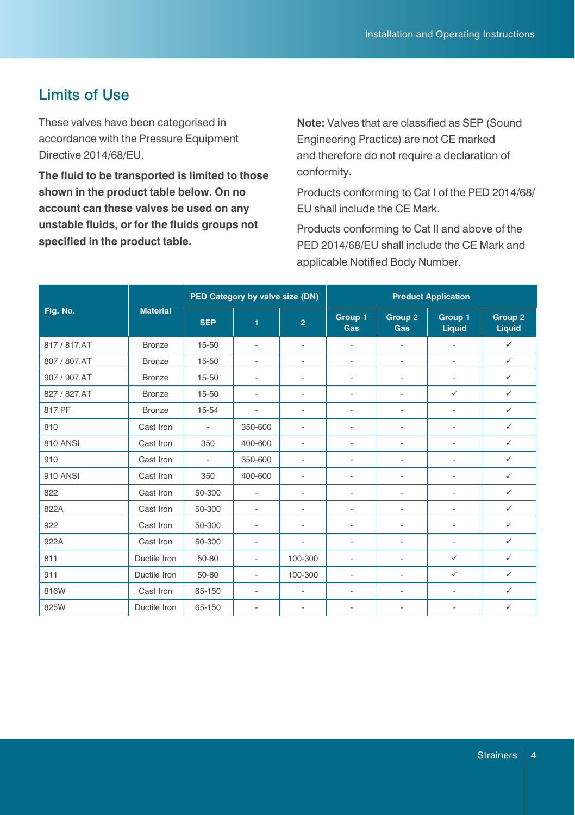### Limits of Use

These valves have been categorised in accordance with the Pressure Equipment Directive 2014/68/EU.

**The fluid to be transported is limited to those shown in the product table below. On no account can these valves be used on any unstable fluids, or for the fluids groups not specified in the product table.**

**Note:** Valves that are classified as SEP (Sound Engineering Practice) are not CE marked and therefore do not require a declaration of conformity.

Products conforming to Cat I of the PED 2014/68/ EU shall include the CE Mark.

Products conforming to Cat II and above of the PED 2014/68/EU shall include the CE Mark and applicable Notified Body Number.

| Fig. No.        | <b>Material</b> | PED Category by valve size (DN) |                          |                          | <b>Product Application</b> |                          |                          |                   |
|-----------------|-----------------|---------------------------------|--------------------------|--------------------------|----------------------------|--------------------------|--------------------------|-------------------|
|                 |                 | <b>SEP</b>                      | 1                        | $\overline{2}$           | Group 1<br>Gas             | Group 2<br>Gas           | Group 1<br>Liquid        | Group 2<br>Liquid |
| 817 / 817.AT    | <b>Bronze</b>   | 15-50                           | $\overline{\phantom{a}}$ | $\overline{\phantom{0}}$ | $\overline{\phantom{a}}$   | $\overline{\phantom{0}}$ | $\overline{\phantom{a}}$ | $\checkmark$      |
| 807 / 807.AT    | <b>Bronze</b>   | 15-50                           | $\overline{\phantom{a}}$ | $\overline{\phantom{0}}$ | $\overline{\phantom{a}}$   | $\overline{\phantom{a}}$ | $\overline{a}$           | $\checkmark$      |
| 907 / 907.AT    | <b>Bronze</b>   | 15-50                           | $\overline{\phantom{a}}$ | $\overline{\phantom{0}}$ | $\overline{\phantom{a}}$   | $\overline{\phantom{a}}$ | $\overline{\phantom{a}}$ | $\checkmark$      |
| 827 / 827.AT    | <b>Bronze</b>   | 15-50                           | $\overline{\phantom{a}}$ | $\overline{\phantom{0}}$ | $\overline{\phantom{a}}$   | $\overline{\phantom{a}}$ | $\checkmark$             | $\checkmark$      |
| 817.PF          | Bronze          | $15 - 54$                       | $\overline{\phantom{a}}$ | $\overline{a}$           | $\overline{\phantom{a}}$   | $\overline{\phantom{a}}$ | $\overline{\phantom{a}}$ | $\checkmark$      |
| 810             | Cast Iron       | $\overline{\phantom{a}}$        | 350-600                  | $\overline{a}$           | $\overline{a}$             | $\overline{\phantom{0}}$ | $\overline{\phantom{a}}$ | $\checkmark$      |
| <b>810 ANSI</b> | Cast Iron       | 350                             | 400-600                  | $\overline{a}$           | $\overline{\phantom{a}}$   | $\overline{\phantom{a}}$ | $\overline{\phantom{a}}$ | $\checkmark$      |
| 910             | Cast Iron       | $\overline{\phantom{a}}$        | 350-600                  | $\overline{\phantom{0}}$ | $\overline{\phantom{a}}$   | $\overline{\phantom{a}}$ | $\overline{\phantom{a}}$ | $\checkmark$      |
| 910 ANSI        | Cast Iron       | 350                             | 400-600                  | $\overline{\phantom{0}}$ | $\overline{\phantom{a}}$   | $\overline{\phantom{a}}$ | $\overline{a}$           | $\checkmark$      |
| 822             | Cast Iron       | 50-300                          | $\overline{\phantom{a}}$ | $\overline{a}$           | $\overline{\phantom{a}}$   | $\overline{\phantom{a}}$ | $\overline{a}$           | $\checkmark$      |
| 822A            | Cast Iron       | 50-300                          | $\overline{\phantom{a}}$ | $\overline{\phantom{0}}$ | $\overline{\phantom{a}}$   | $\overline{\phantom{a}}$ | $\overline{\phantom{a}}$ | $\checkmark$      |
| 922             | Cast Iron       | 50-300                          | $\overline{\phantom{a}}$ | $\overline{\phantom{0}}$ | $\overline{\phantom{a}}$   | $\overline{\phantom{a}}$ | $\overline{\phantom{a}}$ | $\checkmark$      |
| 922A            | Cast Iron       | 50-300                          | $\overline{\phantom{a}}$ | $\overline{\phantom{0}}$ | $\overline{\phantom{a}}$   | $\overline{\phantom{a}}$ | $\overline{\phantom{a}}$ | $\checkmark$      |
| 811             | Ductile Iron    | 50-80                           | $\overline{\phantom{a}}$ | 100-300                  | $\overline{\phantom{a}}$   | $\overline{\phantom{0}}$ | $\checkmark$             | $\checkmark$      |
| 911             | Ductile Iron    | 50-80                           | $\overline{\phantom{a}}$ | 100-300                  | $\overline{\phantom{a}}$   | $\overline{\phantom{a}}$ | $\checkmark$             | $\checkmark$      |
| 816W            | Cast Iron       | 65-150                          | $\overline{\phantom{a}}$ | $\overline{\phantom{0}}$ | $\overline{\phantom{a}}$   | $\overline{\phantom{a}}$ | $\overline{\phantom{a}}$ | $\checkmark$      |
| 825W            | Ductile Iron    | 65-150                          | $\overline{\phantom{a}}$ | $\overline{\phantom{0}}$ | $\overline{\phantom{a}}$   | $\overline{\phantom{a}}$ | $\overline{a}$           | $\checkmark$      |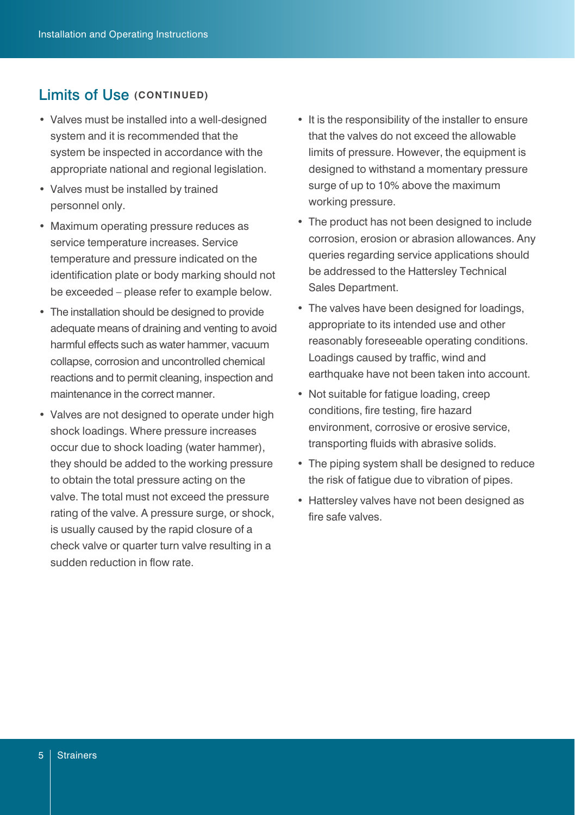### Limits of Use **(CONTINUED)**

- Valves must be installed into a well-designed system and it is recommended that the system be inspected in accordance with the appropriate national and regional legislation.
- Valves must be installed by trained personnel only.
- Maximum operating pressure reduces as service temperature increases. Service temperature and pressure indicated on the identification plate or body marking should not be exceeded – please refer to example below.
- The installation should be designed to provide adequate means of draining and venting to avoid harmful effects such as water hammer, vacuum collapse, corrosion and uncontrolled chemical reactions and to permit cleaning, inspection and maintenance in the correct manner.
- Valves are not designed to operate under high shock loadings. Where pressure increases occur due to shock loading (water hammer), they should be added to the working pressure to obtain the total pressure acting on the valve. The total must not exceed the pressure rating of the valve. A pressure surge, or shock, is usually caused by the rapid closure of a check valve or quarter turn valve resulting in a sudden reduction in flow rate.
- It is the responsibility of the installer to ensure that the valves do not exceed the allowable limits of pressure. However, the equipment is designed to withstand a momentary pressure surge of up to 10% above the maximum working pressure.
- The product has not been designed to include corrosion, erosion or abrasion allowances. Any queries regarding service applications should be addressed to the Hattersley Technical Sales Department.
- The valves have been designed for loadings, appropriate to its intended use and other reasonably foreseeable operating conditions. Loadings caused by traffic, wind and earthquake have not been taken into account.
- Not suitable for fatigue loading, creep conditions, fire testing, fire hazard environment, corrosive or erosive service, transporting fluids with abrasive solids.
- The piping system shall be designed to reduce the risk of fatigue due to vibration of pipes.
- Hattersley valves have not been designed as fire safe valves.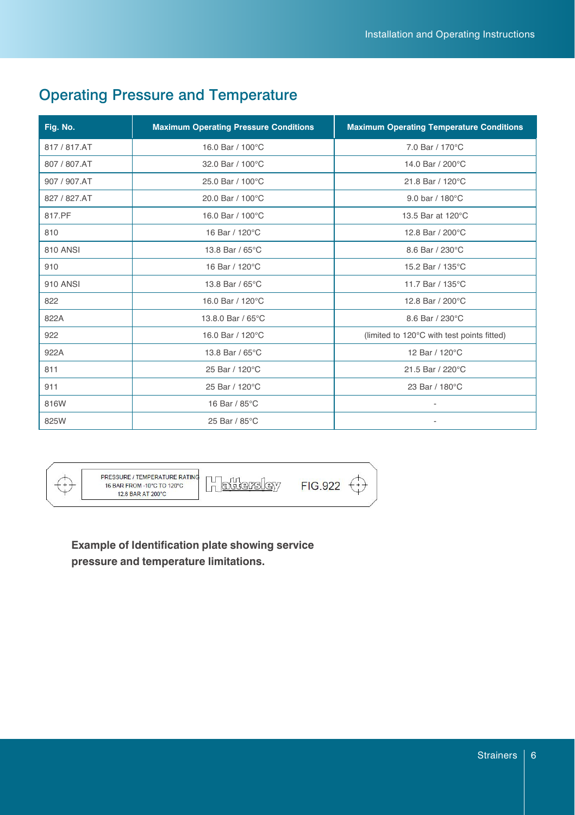## Operating Pressure and Temperature

| Fig. No.     | <b>Maximum Operating Pressure Conditions</b> | <b>Maximum Operating Temperature Conditions</b> |
|--------------|----------------------------------------------|-------------------------------------------------|
| 817 / 817.AT | 16.0 Bar / 100°C                             | 7.0 Bar / 170°C                                 |
| 807 / 807.AT | 32.0 Bar / 100°C                             | 14.0 Bar / 200°C                                |
| 907 / 907.AT | 25.0 Bar / 100°C                             | 21.8 Bar / 120°C                                |
| 827 / 827.AT | 20.0 Bar / 100°C                             | 9.0 bar / 180°C                                 |
| 817.PF       | 16.0 Bar / 100°C                             | 13.5 Bar at 120°C                               |
| 810          | 16 Bar / 120°C                               | 12.8 Bar / 200°C                                |
| 810 ANSI     | 13.8 Bar / 65°C                              | 8.6 Bar / 230°C                                 |
| 910          | 16 Bar / 120°C                               | 15.2 Bar / 135°C                                |
| 910 ANSI     | 13.8 Bar / 65°C                              | 11.7 Bar / 135°C                                |
| 822          | 16.0 Bar / 120°C                             | 12.8 Bar / 200°C                                |
| 822A         | 13.8.0 Bar / 65°C                            | 8.6 Bar / 230°C                                 |
| 922          | 16.0 Bar / 120°C                             | (limited to 120°C with test points fitted)      |
| 922A         | 13.8 Bar / 65°C                              | 12 Bar / 120°C                                  |
| 811          | 25 Bar / 120°C                               | 21.5 Bar / 220°C                                |
| 911          | 25 Bar / 120°C                               | 23 Bar / 180°C                                  |
| 816W         | 16 Bar / 85°C                                |                                                 |
| 825W         | 25 Bar / 85°C                                |                                                 |



PRESSURE / TEMPERATURE RATING 16 BAR FROM -10°C TO 120°C 12.8 BAR AT 200°C

Hattersley

FIG.922

**Example of Identification plate showing service pressure and temperature limitations.**